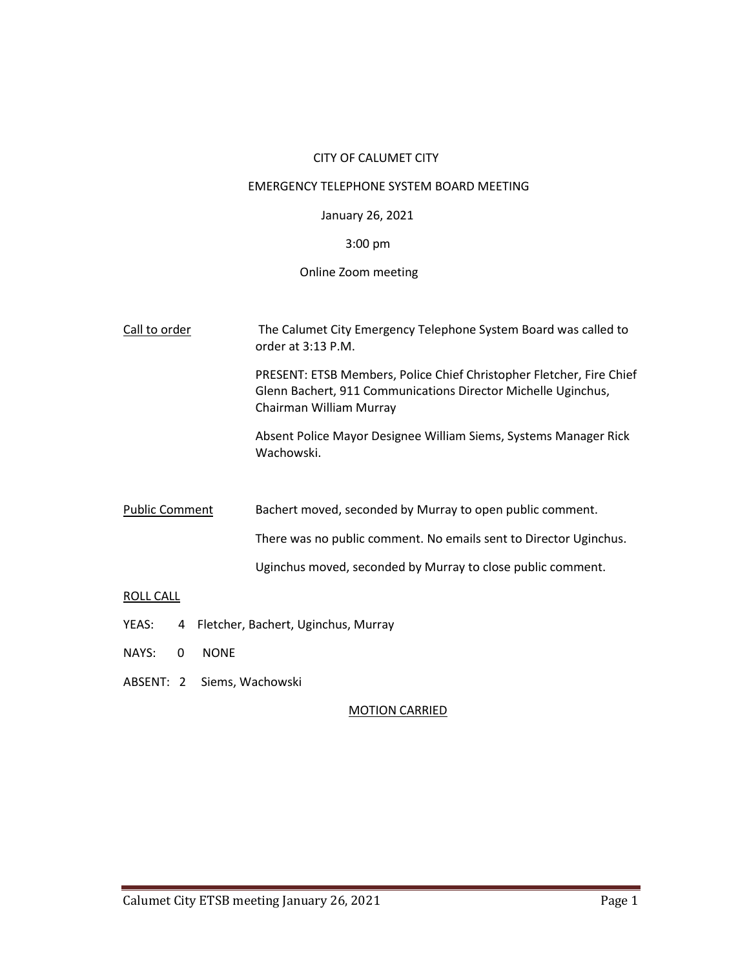### CITY OF CALUMET CITY

#### EMERGENCY TELEPHONE SYSTEM BOARD MEETING

### January 26, 2021

### 3:00 pm

### Online Zoom meeting

- Call to order The Calumet City Emergency Telephone System Board was called to order at 3:13 P.M. PRESENT: ETSB Members, Police Chief Christopher Fletcher, Fire Chief Glenn Bachert, 911 Communications Director Michelle Uginchus, Chairman William Murray Absent Police Mayor Designee William Siems, Systems Manager Rick Wachowski. Public Comment Bachert moved, seconded by Murray to open public comment. There was no public comment. No emails sent to Director Uginchus. Uginchus moved, seconded by Murray to close public comment. ROLL CALL YEAS: 4 Fletcher, Bachert, Uginchus, Murray
- NAYS: 0 NONE
- ABSENT: 2 Siems, Wachowski

#### MOTION CARRIED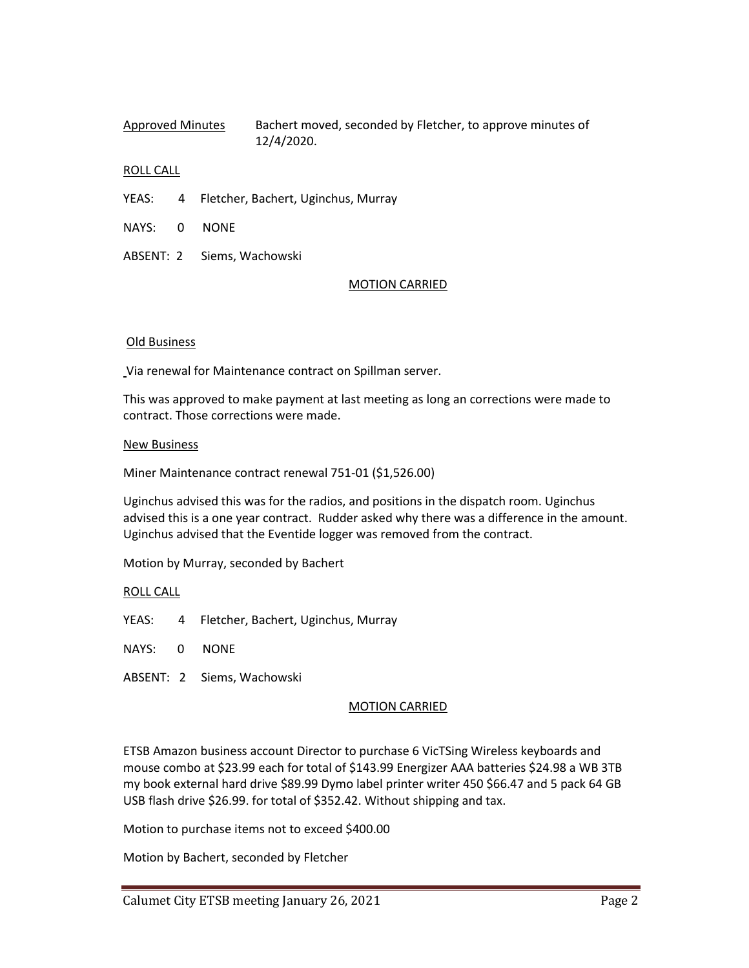# Approved Minutes Bachert moved, seconded by Fletcher, to approve minutes of 12/4/2020.

## ROLL CALL

- YEAS: 4 Fletcher, Bachert, Uginchus, Murray
- NAYS: 0 NONE
- ABSENT: 2 Siems, Wachowski

### MOTION CARRIED

### Old Business

Via renewal for Maintenance contract on Spillman server.

This was approved to make payment at last meeting as long an corrections were made to contract. Those corrections were made.

### New Business

Miner Maintenance contract renewal 751-01 (\$1,526.00)

Uginchus advised this was for the radios, and positions in the dispatch room. Uginchus advised this is a one year contract. Rudder asked why there was a difference in the amount. Uginchus advised that the Eventide logger was removed from the contract.

Motion by Murray, seconded by Bachert

## ROLL CALL

- YEAS: 4 Fletcher, Bachert, Uginchus, Murray
- NAYS: 0 NONE
- ABSENT: 2 Siems, Wachowski

## MOTION CARRIED

ETSB Amazon business account Director to purchase 6 VicTSing Wireless keyboards and mouse combo at \$23.99 each for total of \$143.99 Energizer AAA batteries \$24.98 a WB 3TB my book external hard drive \$89.99 Dymo label printer writer 450 \$66.47 and 5 pack 64 GB USB flash drive \$26.99. for total of \$352.42. Without shipping and tax.

Motion to purchase items not to exceed \$400.00

Motion by Bachert, seconded by Fletcher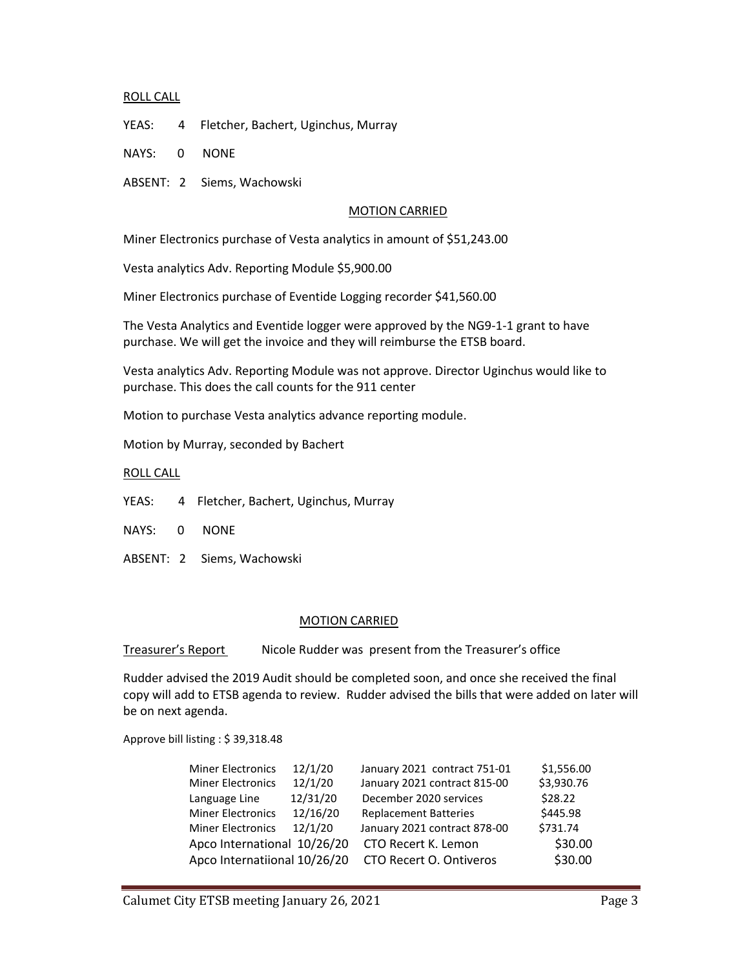### ROLL CALL

YEAS: 4 Fletcher, Bachert, Uginchus, Murray

NAYS: 0 NONE

ABSENT: 2 Siems, Wachowski

### MOTION CARRIED

Miner Electronics purchase of Vesta analytics in amount of \$51,243.00

Vesta analytics Adv. Reporting Module \$5,900.00

Miner Electronics purchase of Eventide Logging recorder \$41,560.00

The Vesta Analytics and Eventide logger were approved by the NG9-1-1 grant to have purchase. We will get the invoice and they will reimburse the ETSB board.

Vesta analytics Adv. Reporting Module was not approve. Director Uginchus would like to purchase. This does the call counts for the 911 center

Motion to purchase Vesta analytics advance reporting module.

Motion by Murray, seconded by Bachert

ROLL CALL

- YEAS: 4 Fletcher, Bachert, Uginchus, Murray
- NAYS: 0 NONE
- ABSENT: 2 Siems, Wachowski

#### MOTION CARRIED

Treasurer's Report Nicole Rudder was present from the Treasurer's office

Rudder advised the 2019 Audit should be completed soon, and once she received the final copy will add to ETSB agenda to review. Rudder advised the bills that were added on later will be on next agenda.

Approve bill listing : \$ 39,318.48

| <b>Miner Electronics</b>     | 12/1/20  | January 2021 contract 751-01 | \$1,556.00 |
|------------------------------|----------|------------------------------|------------|
| <b>Miner Electronics</b>     | 12/1/20  | January 2021 contract 815-00 | \$3,930.76 |
| Language Line                | 12/31/20 | December 2020 services       | \$28.22    |
| <b>Miner Electronics</b>     | 12/16/20 | <b>Replacement Batteries</b> | \$445.98   |
| <b>Miner Electronics</b>     | 12/1/20  | January 2021 contract 878-00 | \$731.74   |
| Apco International 10/26/20  |          | CTO Recert K. Lemon          | \$30.00    |
| Apco Internatiional 10/26/20 |          | CTO Recert O. Ontiveros      | \$30.00    |